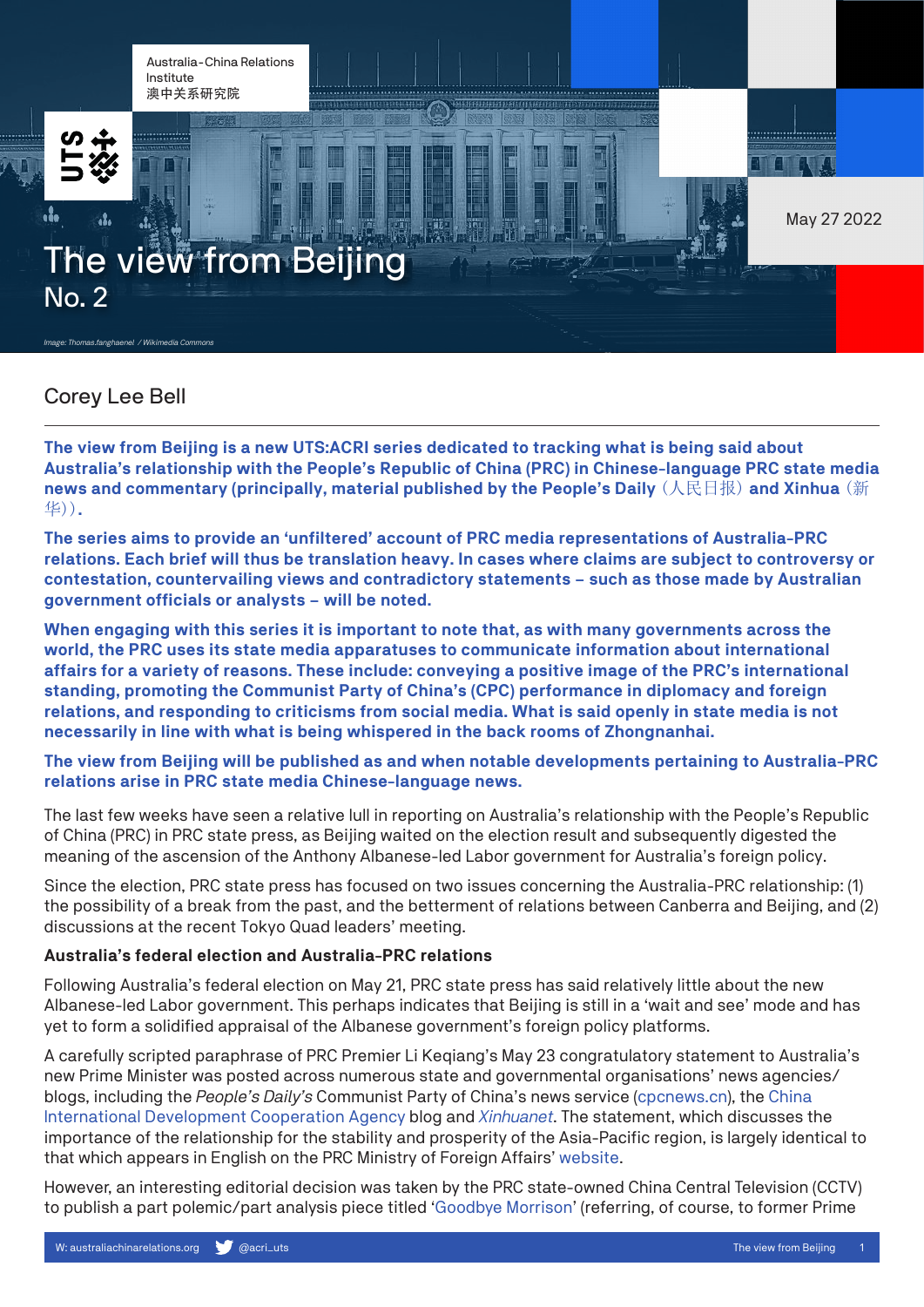Australia-China Relations Institute 澳中关系研究院





May 27 2022

# The view from Beijing No. 2

*Image: Thomas.fanghaenel / Wikimedia Com.* 

## Corey Lee Bell

**The view from Beijing is a new UTS:ACRI series dedicated to tracking what is being said about Australia's relationship with the People's Republic of China (PRC) in Chinese-language PRC state media news and commentary (principally, material published by the People's Daily** (人民日报) **and Xinhua** (新 华))**.**

m

**The series aims to provide an 'unfiltered' account of PRC media representations of Australia-PRC relations. Each brief will thus be translation heavy. In cases where claims are subject to controversy or contestation, countervailing views and contradictory statements – such as those made by Australian government officials or analysts – will be noted.** 

**When engaging with this series it is important to note that, as with many governments across the world, the PRC uses its state media apparatuses to communicate information about international affairs for a variety of reasons. These include: conveying a positive image of the PRC's international standing, promoting the Communist Party of China's (CPC) performance in diplomacy and foreign relations, and responding to criticisms from social media. What is said openly in state media is not necessarily in line with what is being whispered in the back rooms of Zhongnanhai.**

### **The view from Beijing will be published as and when notable developments pertaining to Australia-PRC relations arise in PRC state media Chinese-language news.**

The last few weeks have seen a relative lull in reporting on Australia's relationship with the People's Republic of China (PRC) in PRC state press, as Beijing waited on the election result and subsequently digested the meaning of the ascension of the Anthony Albanese-led Labor government for Australia's foreign policy.

Since the election, PRC state press has focused on two issues concerning the Australia-PRC relationship: (1) the possibility of a break from the past, and the betterment of relations between Canberra and Beijing, and (2) discussions at the recent Tokyo Quad leaders' meeting.

#### **Australia's federal election and Australia-PRC relations**

Following Australia's federal election on May 21, PRC state press has said relatively little about the new Albanese-led Labor government. This perhaps indicates that Beijing is still in a 'wait and see' mode and has yet to form a solidified appraisal of the Albanese government's foreign policy platforms.

A carefully scripted paraphrase of PRC Premier Li Keqiang's May 23 congratulatory statement to Australia's new Prime Minister was posted across numerous state and governmental organisations' news agencies/ blogs, including the *People's Daily's* Communist Party of China's news service [\(cpcnews.cn\)](http://cpc.people.com.cn/n1/2022/0524/c64094-32428538.html), the [China](http://www.cidca.gov.cn/2022-05/24/c_1211650410.htm)  [International Development Cooperation Agency](http://www.cidca.gov.cn/2022-05/24/c_1211650410.htm) blog and *[Xinhuanet](http://m.news.cn/2022-05/23/c_1128677153.htm)*. The statement, which discusses the importance of the relationship for the stability and prosperity of the Asia-Pacific region, is largely identical to that which appears in English on the PRC Ministry of Foreign Affairs' [website](http://www.fmprc.gov.cn/mfa_eng/zxxx_662805/202205/t20220524_10691964.html).

However, an interesting editorial decision was taken by the PRC state-owned China Central Television (CCTV) to publish a part polemic/part analysis piece titled ['Goodbye Morrison](https://news.cctv.com/2022/05/23/ARTIm9kYTs3xdNhBDkIHGBKG220523.shtml)' (referring, of course, to former Prime